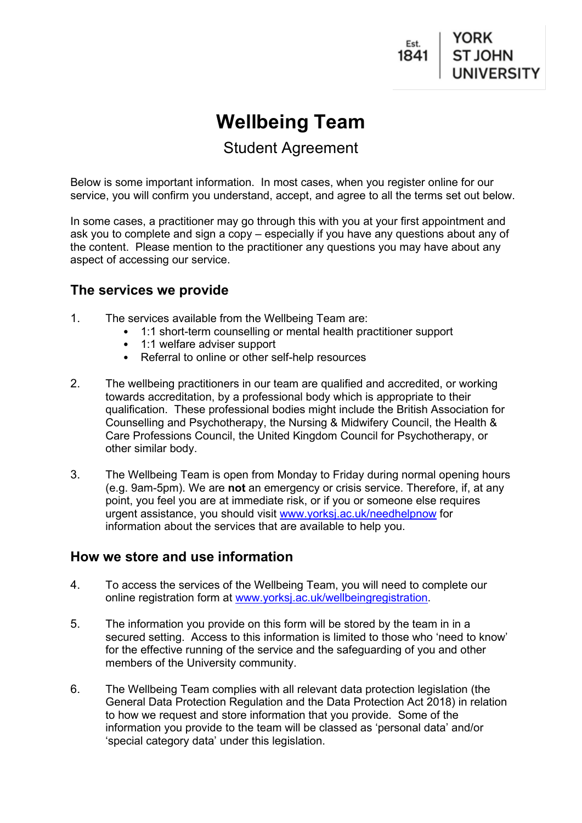

# **Wellbeing Team**

# Student Agreement

Below is some important information. In most cases, when you register online for our service, you will confirm you understand, accept, and agree to all the terms set out below.

In some cases, a practitioner may go through this with you at your first appointment and ask you to complete and sign a copy – especially if you have any questions about any of the content. Please mention to the practitioner any questions you may have about any aspect of accessing our service.

#### **The services we provide**

- 1. The services available from the Wellbeing Team are:
	- 1:1 short-term counselling or mental health practitioner support
	- 1:1 welfare adviser support
	- Referral to online or other self-help resources
- 2. The wellbeing practitioners in our team are qualified and accredited, or working towards accreditation, by a professional body which is appropriate to their qualification. These professional bodies might include the British Association for Counselling and Psychotherapy, the Nursing & Midwifery Council, the Health & Care Professions Council, the United Kingdom Council for Psychotherapy, or other similar body.
- 3. The Wellbeing Team is open from Monday to Friday during normal opening hours (e.g. 9am-5pm). We are **not** an emergency or crisis service. Therefore, if, at any point, you feel you are at immediate risk, or if you or someone else requires urgent assistance, you should visit [www.yorksj.ac.uk/needhelpnow](http://www.yorksj.ac.uk/needhelpnow) for information about the services that are available to help you.

## **How we store and use information**

- 4. To access the services of the Wellbeing Team, you will need to complete our online registration form at [www.yorksj.ac.uk/wellbeingregistration.](http://www.yorksj.ac.uk/wellbeingregistration)
- 5. The information you provide on this form will be stored by the team in in a secured setting. Access to this information is limited to those who 'need to know' for the effective running of the service and the safeguarding of you and other members of the University community.
- 6. The Wellbeing Team complies with all relevant data protection legislation (the General Data Protection Regulation and the Data Protection Act 2018) in relation to how we request and store information that you provide. Some of the information you provide to the team will be classed as 'personal data' and/or 'special category data' under this legislation.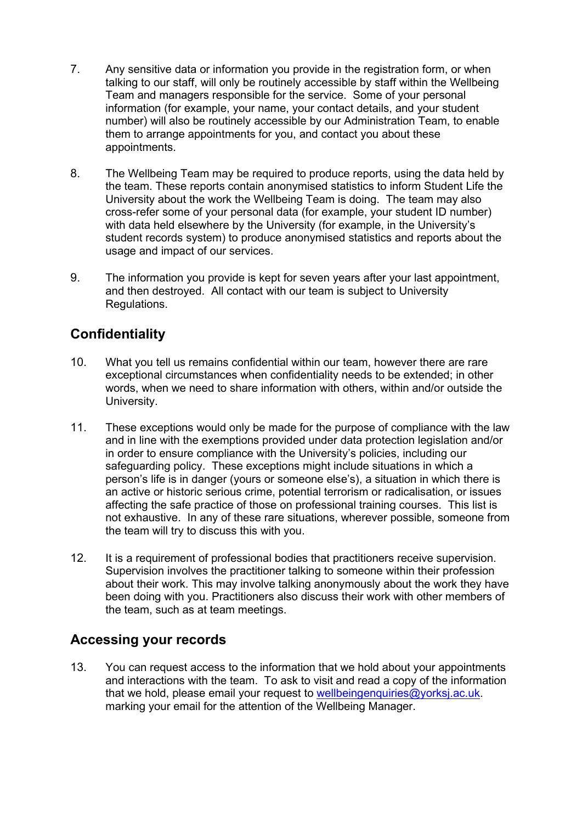- 7. Any sensitive data or information you provide in the registration form, or when talking to our staff, will only be routinely accessible by staff within the Wellbeing Team and managers responsible for the service. Some of your personal information (for example, your name, your contact details, and your student number) will also be routinely accessible by our Administration Team, to enable them to arrange appointments for you, and contact you about these appointments.
- 8. The Wellbeing Team may be required to produce reports, using the data held by the team. These reports contain anonymised statistics to inform Student Life the University about the work the Wellbeing Team is doing. The team may also cross-refer some of your personal data (for example, your student ID number) with data held elsewhere by the University (for example, in the University's student records system) to produce anonymised statistics and reports about the usage and impact of our services.
- 9. The information you provide is kept for seven years after your last appointment, and then destroyed. All contact with our team is subject to University Regulations.

# **Confidentiality**

- 10. What you tell us remains confidential within our team, however there are rare exceptional circumstances when confidentiality needs to be extended; in other words, when we need to share information with others, within and/or outside the University.
- 11. These exceptions would only be made for the purpose of compliance with the law and in line with the exemptions provided under data protection legislation and/or in order to ensure compliance with the University's policies, including our safeguarding policy. These exceptions might include situations in which a person's life is in danger (yours or someone else's), a situation in which there is an active or historic serious crime, potential terrorism or radicalisation, or issues affecting the safe practice of those on professional training courses. This list is not exhaustive. In any of these rare situations, wherever possible, someone from the team will try to discuss this with you.
- 12. It is a requirement of professional bodies that practitioners receive supervision. Supervision involves the practitioner talking to someone within their profession about their work. This may involve talking anonymously about the work they have been doing with you. Practitioners also discuss their work with other members of the team, such as at team meetings.

## **Accessing your records**

13. You can request access to the information that we hold about your appointments and interactions with the team. To ask to visit and read a copy of the information that we hold, please email your request to wellbeingenquiries@yorksi.ac.uk. marking your email for the attention of the Wellbeing Manager.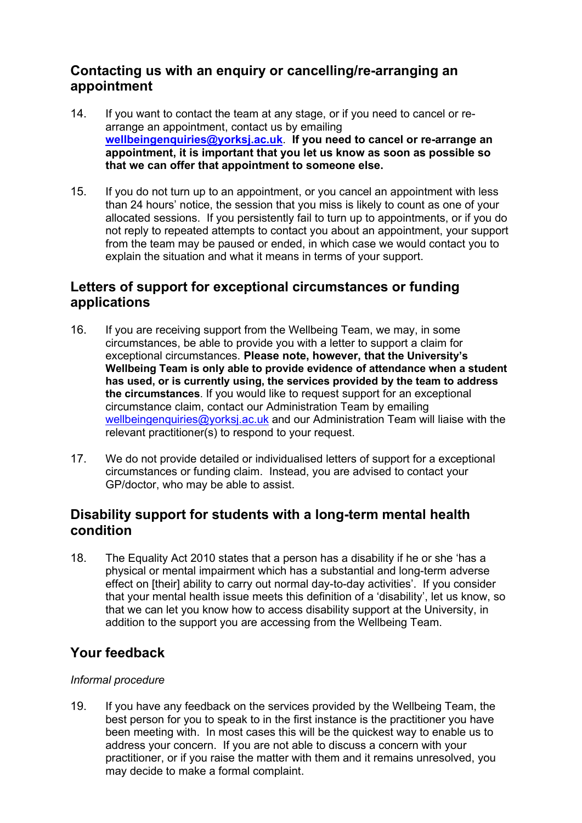## **Contacting us with an enquiry or cancelling/re-arranging an appointment**

- 14. If you want to contact the team at any stage, or if you need to cancel or rearrange an appointment, contact us by emailing **[wellbeingenquiries@yorksj.ac.uk](mailto:wellbeingenquiries@yorksj.ac.uk)**. **If you need to cancel or re-arrange an appointment, it is important that you let us know as soon as possible so that we can offer that appointment to someone else.**
- 15. If you do not turn up to an appointment, or you cancel an appointment with less than 24 hours' notice, the session that you miss is likely to count as one of your allocated sessions. If you persistently fail to turn up to appointments, or if you do not reply to repeated attempts to contact you about an appointment, your support from the team may be paused or ended, in which case we would contact you to explain the situation and what it means in terms of your support.

## **Letters of support for exceptional circumstances or funding applications**

- 16. If you are receiving support from the Wellbeing Team, we may, in some circumstances, be able to provide you with a letter to support a claim for exceptional circumstances. **Please note, however, that the University's Wellbeing Team is only able to provide evidence of attendance when a student has used, or is currently using, the services provided by the team to address the circumstances**. If you would like to request support for an exceptional circumstance claim, contact our Administration Team by emailing [wellbeingenquiries@yorksj.ac.uk](mailto:wellbeingenquiries@yorksj.ac.uk) and our Administration Team will liaise with the relevant practitioner(s) to respond to your request.
- 17. We do not provide detailed or individualised letters of support for a exceptional circumstances or funding claim. Instead, you are advised to contact your GP/doctor, who may be able to assist.

## **Disability support for students with a long-term mental health condition**

18. The Equality Act 2010 states that a person has a disability if he or she 'has a physical or mental impairment which has a substantial and long-term adverse effect on [their] ability to carry out normal day-to-day activities'. If you consider that your mental health issue meets this definition of a 'disability', let us know, so that we can let you know how to access disability support at the University, in addition to the support you are accessing from the Wellbeing Team.

# **Your feedback**

#### *Informal procedure*

19. If you have any feedback on the services provided by the Wellbeing Team, the best person for you to speak to in the first instance is the practitioner you have been meeting with. In most cases this will be the quickest way to enable us to address your concern. If you are not able to discuss a concern with your practitioner, or if you raise the matter with them and it remains unresolved, you may decide to make a formal complaint.